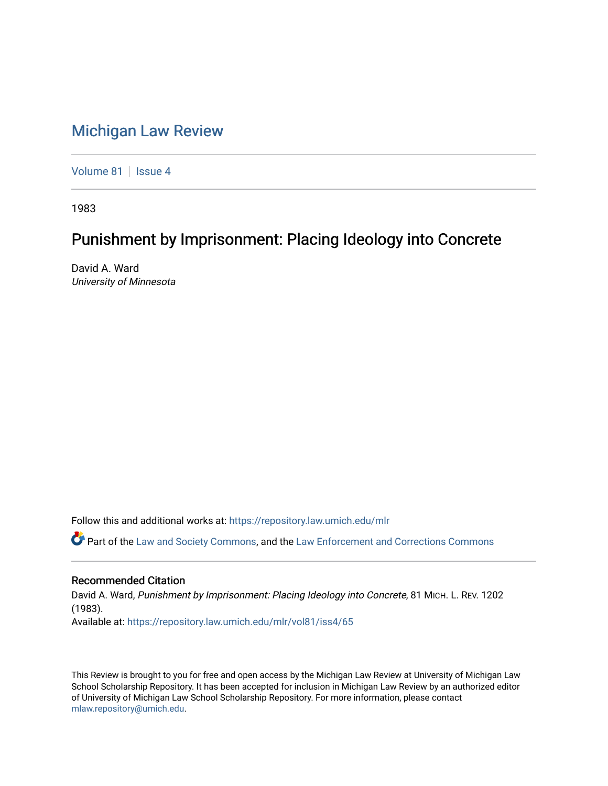## [Michigan Law Review](https://repository.law.umich.edu/mlr)

[Volume 81](https://repository.law.umich.edu/mlr/vol81) | [Issue 4](https://repository.law.umich.edu/mlr/vol81/iss4)

1983

# Punishment by Imprisonment: Placing Ideology into Concrete

David A. Ward University of Minnesota

Follow this and additional works at: [https://repository.law.umich.edu/mlr](https://repository.law.umich.edu/mlr?utm_source=repository.law.umich.edu%2Fmlr%2Fvol81%2Fiss4%2F65&utm_medium=PDF&utm_campaign=PDFCoverPages) 

Part of the [Law and Society Commons](http://network.bepress.com/hgg/discipline/853?utm_source=repository.law.umich.edu%2Fmlr%2Fvol81%2Fiss4%2F65&utm_medium=PDF&utm_campaign=PDFCoverPages), and the [Law Enforcement and Corrections Commons](http://network.bepress.com/hgg/discipline/854?utm_source=repository.law.umich.edu%2Fmlr%2Fvol81%2Fiss4%2F65&utm_medium=PDF&utm_campaign=PDFCoverPages) 

#### Recommended Citation

David A. Ward, Punishment by Imprisonment: Placing Ideology into Concrete, 81 MICH. L. REV. 1202 (1983). Available at: [https://repository.law.umich.edu/mlr/vol81/iss4/65](https://repository.law.umich.edu/mlr/vol81/iss4/65?utm_source=repository.law.umich.edu%2Fmlr%2Fvol81%2Fiss4%2F65&utm_medium=PDF&utm_campaign=PDFCoverPages) 

This Review is brought to you for free and open access by the Michigan Law Review at University of Michigan Law School Scholarship Repository. It has been accepted for inclusion in Michigan Law Review by an authorized editor of University of Michigan Law School Scholarship Repository. For more information, please contact [mlaw.repository@umich.edu.](mailto:mlaw.repository@umich.edu)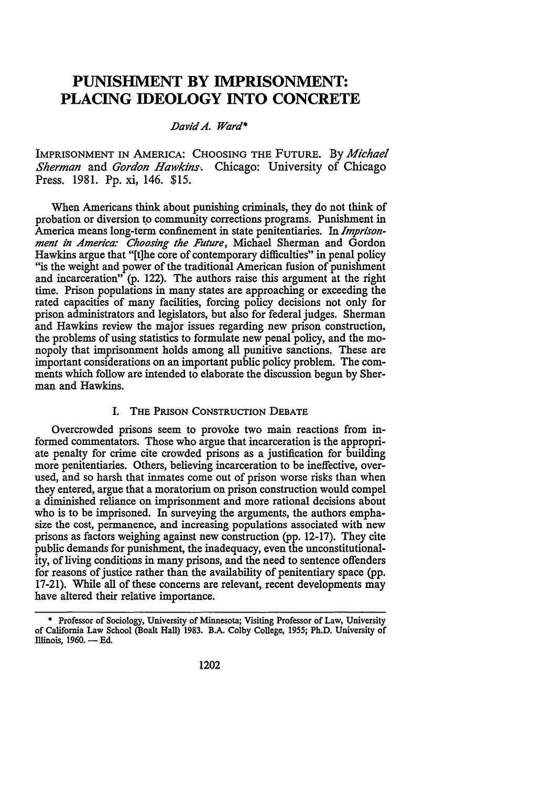### **PUNISHMENT BY IMPRISONMENT: PLACING IDEOLOGY INTO CONCRETE**

#### *JJavid A. Ward\**

IMPRISONMENT IN AMERICA: CHOOSING THE FUTURE. By *Michael Sherman* and *Gordon Hawkins·.* Chicago: University of Chicago Press. 1981. Pp. xi, 146. \$15.

When Americans think about punishing criminals, they do not think of probation or diversion t\_o community corrections programs. Punishment in America means long-term confinement in state penitentiaries. In *Imprisonment in America: Choosing the Future,* Michael Sherman and Gordon Hawkins argue that "[t]he core of contemporary difficulties" in penal policy "is the weight and power of the traditional American fusion of punishment and incarceration" (p. 122). The authors raise this argument at the right time. Prison populations in many states are approaching or exceeding the rated capacities of many facilities, forcing policy decisions not only for prison administrators and legislators, but also for federal judges. Sherman and Hawkins review the major issues regarding new prison construction, the problems of using statistics to formulate new penal policy, and the monopoly that imprisonment holds among all punitive sanctions. These are important considerations on an important public policy problem. The comments which follow are intended to elaborate the discussion begun by Sherman and Hawkins.

#### I. THE PRISON CONSTRUCTION DEBATE

Overcrowded prisons seem to provoke two main reactions from informed commentators. Those who argue that incarceration is the appropriate penalty for crime cite crowded prisons as a justification for building more penitentiaries. Others, believing incarceration to be ineffective, overused, and so harsh that inmates come out of prison worse risks than when they entered, argue that a moratorium on prison construction would compel a diminished reliance on imprisonment and more rational decisions about who is to be imprisoned. In surveying the arguments, the authors emphasize the cost, permanence, and increasing populations associated with new prisons as factors weighing against new construction (pp. 12-17). They cite public demands for punishment, the inadequacy, even the unconstitutionality, of living conditions in many prisons, and the need to sentence offenders for reasons of justice rather than the availability of penitentiary space (pp. 17-21). While all of these concerns are relevant, recent developments may have altered their relative importance.

<sup>\*</sup> Professor of Sociology, University of Minnesota; Visiting Professor of Law, University of California Law School (Boalt Hall) 1983. **B.A.** Colby College, 1955; Ph.D. University of Illinois, 1960. - Ed.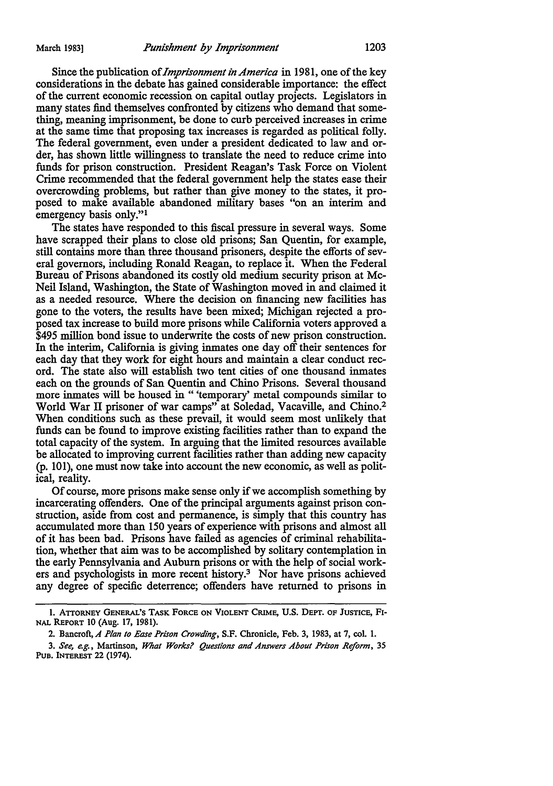Since the publication of *Imprisonment in America* in 1981, one of the key considerations in the debate has gained considerable importance: the effect of the current economic recession on capital outlay projects. Legislators in many states find themselves confronted by citizens who demand that something, meaning imprisonment, be done to curb perceived increases in crime at the same time that proposing tax increases is regarded as political folly. The federal government, even under a president dedicated to law and order, has shown little willingness to translate the need to reduce crime into funds for prison construction. President Reagan's Task Force on Violent Crime recommended that the federal government help the states ease their overcrowding problems, but rather than give money to the states, it proposed to make available abandoned military bases "on an interim and emergency basis only."l

The states have responded to this fiscal pressure in several ways. Some have scrapped their plans to close old prisons; San Quentin, for example, still contains more than three thousand prisoners, despite the efforts of several governors, including Ronald Reagan, to replace it. When the Federal Bureau of Prisons abandoned its costly old medium security prison at Mc-Neil Island, Washington, the State of Washington moved in and claimed it as a needed resource. Where the decision on financing new facilities has gone to the voters, the results have been mixed; Michigan rejected a proposed tax increase to build more prisons while California voters approved a \$495 million bond issue to underwrite the costs of new prison construction. In the interim, California is giving inmates one day off their sentences for each day that they work for eight hours and maintain a clear conduct record. The state also will establish two tent cities of one thousand inmates each on the grounds of San Quentin and Chino Prisons. Several thousand more inmates will be housed in " 'temporary' metal compounds similar to World War II prisoner of war camps" at Soledad, Vacaville, and Chino.<sup>2</sup> When conditions such as these prevail, it would seem most unlikely that funds can be found to improve existing facilities rather than to expand the total capacity of the system. In arguing that the limited resources available be allocated to improving current facilities rather than adding new capacity (p. 101), one must now take into account the new economic, as well as political, reality.

Of course, more prisons make sense only if we accomplish something by incarcerating offenders. One of the principal arguments against prison construction, aside from cost and permanence, is simply that this country has accumulated more than 150 years of experience with prisons and almost all of it has been bad. Prisons have failed as agencies of criminal rehabilitation, whether that aim was to be accomplished by solitary contemplation in the early Pennsylvania and Auburn prisons or with the help of social workers and psychologists in more recent history.3 Nor have prisons achieved any degree of specific deterrence; offenders have returned to prisons in

2. Bancroft, *A Plan lo Ease Prison Crowding,* S.F. Chronicle, Feb. 3, 1983, at 7, col. 1.

<sup>1.</sup> ATTORNEY GENERAL'S TASK FORCE ON VIOLENT CRIME, U.S. DEPT. OF JUSTICE, FI-NAL REPORT 10 (Aug. 17, 1981).

<sup>3.</sup> *See, e.g.,* Martinson, *What Works? Questions and Answers About Prison Reform,* 35 Pua. INTEREST 22 (1974).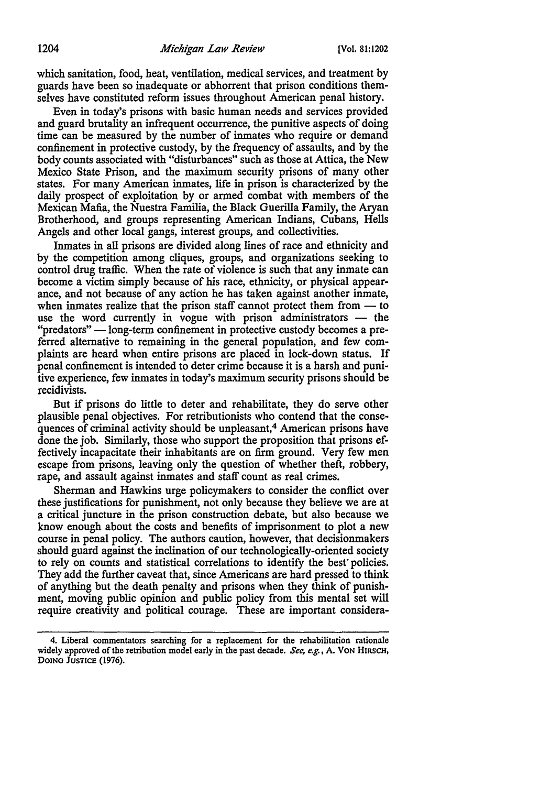which sanitation, food, heat, ventilation, medical services, and treatment by guards have been so inadequate or abhorrent that prison conditions themselves have constituted reform issues throughout American penal history.

Even in today's prisons with basic human needs and services provided and guard brutality an infrequent occurrence, the punitive aspects of doing time can be measured by the number of inmates who require or demand confinement in protective custody, by the frequency of assaults, and by the body counts associated with "disturbances" such as those at Attica, the New Mexico State Prison, and the maximum security prisons of many other states. For many American inmates, life in prison is characterized by the daily prospect of exploitation by or armed combat with members of the Mexican Mafia, the Nuestra Familia, the Black Guerilla Family, the Aryan Brotherhood, and groups representing American Indians, Cubans, Hells Angels and other local gangs, interest groups, and collectivities.

Inmates in all prisons are divided along lines of race and ethnicity and by the competition among cliques, groups, and organizations seeking to control drug traffic. When the rate of violence is such that any inmate can become a victim simply because of his race, ethnicity, or physical appearance, and not because of any action he has taken against another inmate, when inmates realize that the prison staff cannot protect them from  $-$  to use the word currently in vogue with prison administrators  $-$  the "predators" - long-term confinement in protective custody becomes a preferred alternative to remaining in the general population, and few complaints are heard when entire prisons are placed in lock-down status. If penal confinement is intended to deter crime because it is a harsh and punitive experience, few inmates in today's maximum security prisons should be recidivists.

But if prisons do little to deter and rehabilitate, they do serve other plausible penal objectives. For retributionists who contend that the consequences of criminal activity should be unpleasant,<sup>4</sup> American prisons have done the job. Similarly, those who support the proposition that prisons effectively incapacitate their inhabitants are on firm ground. Very few men escape from prisons, leaving only the question of whether theft, robbery, rape, and assault against inmates and staff count as real crimes.

Sherman and Hawkins urge policymakers to consider the conflict over these justifications for punishment, not only because they believe we are at a critical juncture in the prison construction debate, but also because we know enough about the costs and benefits of imprisonment to plot a new course in penal policy. The authors caution, however, that decisionmakers should guard against the inclination of our technologically-oriented society to rely on counts and statistical correlations to identify the besr policies. They add the further caveat that, since Americans are hard pressed to think of anything but the death penalty and prisons when they think of punishment, moving public opinion and public policy from this mental set will require creativity and political courage. These are important considera-

<sup>4.</sup> Liberal commentators searching for a replacement for the rehabilitation rationale widely approved of the retribution model early in the past decade. *See, e.g.,* A. VoN HIRSCH, DOING JUSTICE (1976).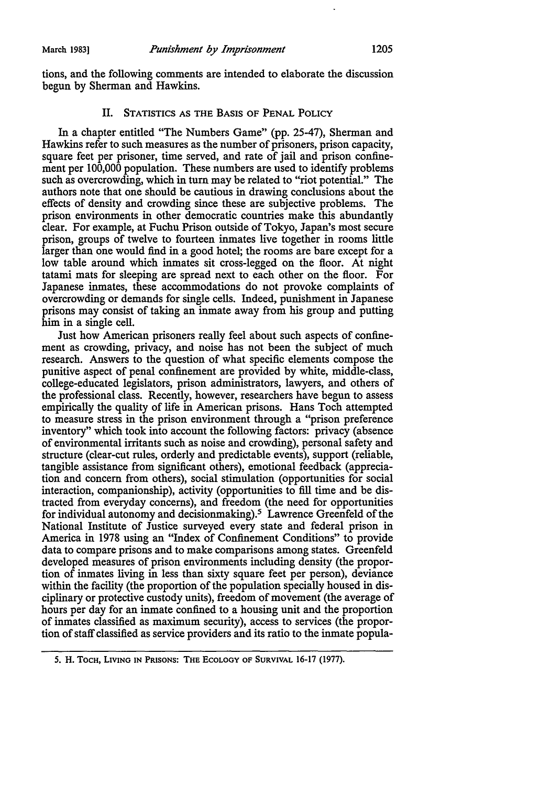tions, and the following comments are intended to elaborate the discussion begun by Sherman and Hawkins.

#### II. STATISTICS AS THE BASIS OF PENAL POLICY

In a chapter entitled "The Numbers Game" (pp. 25-47), Sherman and Hawkins refer to such measures as the number of prisoners, prison capacity, square feet per prisoner, time served, and rate of jail and prison confinement per 100,000 population. These numbers are used to identify problems such as overcrowding, which in tum may be related to "riot potential." The authors note that one should be cautious in drawing conclusions about the effects of density and crowding since these are subjective problems. The prison environments in other democratic countries make this abundantly clear. For example, at Fuchu Prison outside of Tokyo, Japan's most secure prison, groups of twelve to fourteen inmates live together in rooms little larger than one would find in a good hotel; the rooms are bare except for a low table around which inmates sit cross-legged on the floor. At night tatami mats for sleeping are spread next to each other on the floor. For Japanese inmates, these accommodations do not provoke complaints of overcrowding or demands for single cells. Indeed, punishment in Japanese prisons may consist of taking an inmate away from his group and putting him in a single cell.

Just how American prisoners really feel about such aspects of confinement as crowding, privacy, and noise has not been the subject of much research. Answers to the question of what specific elements compose the punitive aspect of penal confinement are provided by white, middle-class, college-educated legislators, prison administrators, lawyers, and others of the professional class. Recently, however, researchers have begun to assess empirically the quality of life in American prisons. Hans Toch attempted to measure stress in the prison environment through a "prison preference inventory" which took into account the following factors: privacy (absence of environmental irritants such as noise and crowding), personal safety and structure (clear-cut rules, orderly and predictable events), support (reliable, tangible assistance from significant others), emotional feedback (appreciation and concern from others), social stimulation (opportunities for social interaction, companionship), activity ( opportunities to fill time and be distracted from everyday concerns), and freedom (the need for opportunities for individual autonomy and decisionmaking).<sup>5</sup> Lawrence Greenfeld of the National Institute of Justice surveyed every state and federal prison in America in 1978 using an "Index of Confinement Conditions" to provide data to compare prisons and to make comparisons among states. Greenfeld developed measures of prison environments including density (the proportion of inmates living in less than sixty square feet per person), deviance within the facility (the proportion of the population specially housed in disciplinary or protective custody units), freedom of movement (the average of hours per day for an inmate confined to a housing unit and the proportion of inmates classified as maximum security), access to services (the proportion of staff classified as service providers and its ratio to the inmate popula-

<sup>5.</sup> H. TOCH, LIVING IN PRISONS: THE ECOLOGY OF SURVIVAL 16-17 (1977).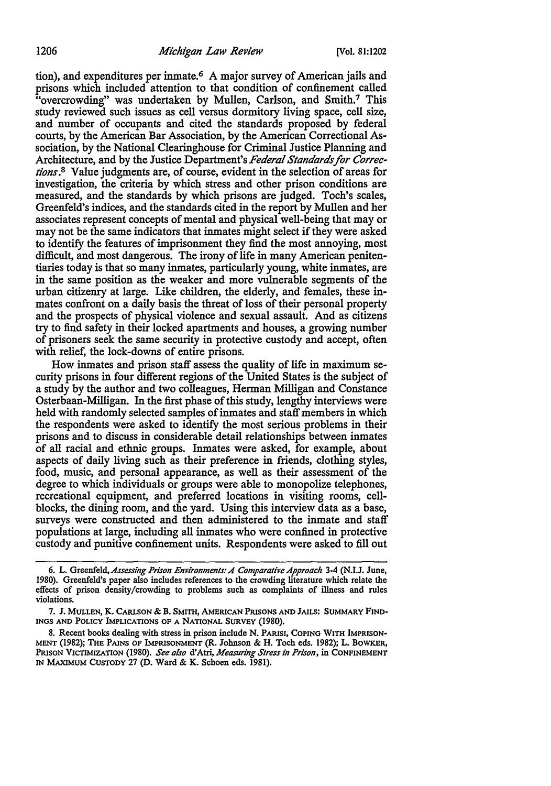tion), and expenditures per inmate.<sup>6</sup> A major survey of American jails and prisons which included attention to that condition of confinement called "overcrowding" was undertaken by Mullen, Carlson, and Smith.<sup>7</sup> This study reviewed such issues as cell versus dormitory living space, cell size, and number of occupants and cited the standards proposed by federal courts, by the American Bar Association, by the American Correctional Association, by the National Clearinghouse for Criminal Justice Planning and Architecture, and by the Justice Department's *Federal Standards for Corrections*.<sup>8</sup> Value judgments are, of course, evident in the selection of areas for investigation, the criteria by which stress and other prison conditions are measured, and the standards by which prisons are judged. Toch's scales, Greenfeld's indices, and the standards cited in the report by Mullen and her associates represent concepts of mental and physical well-being that may or may not be the same indicators that inmates might select if they were asked to identify the features of imprisonment they find the most annoying, most difficult, and most dangerous. The irony of life in many American penitentiaries today is that so many inmates, particularly young, white inmates, are in the same position as the weaker and more vulnerable segments of the urban citizenry at large. Like children, the elderly, and females, these inmates confront on a daily basis the threat of loss of their personal property and the prospects of physical violence and sexual assault. And as citizens try to find safety in their locked apartments and houses, a growing number of prisoners seek the same security in protective custody and accept, often with relief, the lock-downs of entire prisons.

How inmates and prison staff assess the quality of life in maximum security prisons in four different regions of the United States is the subject of a study by the author and two colleagues, Herman Milligan and Constance Osterbaan-Milligan. In the first phase of this study, lengthy interviews were held with randomly selected samples of inmates and staff members in which the respondents were asked to identify the most serious problems in their prisons and to discuss in considerable detail relationships between inmates of all racial and ethnic groups. Inmates were asked, for example, about aspects of daily living such as their preference in friends, clothing styles, food, music, and personal appearance, as well as their assessment of the degree to which individuals or groups were able to monopolize telephones, recreational equipment, and preferred locations in visiting rooms, cellblocks, the dining room, and the yard. Using this interview data as a base, surveys were constructed and then administered to the inmate and staff populations at large, including all inmates who were confined in protective custody and punitive confinement units. Respondents were asked to fill out

<sup>6.</sup> L. *Greenfeld,Assersing Prison Environments: A Comparative Approach* 3-4 (N.I.J. June, 1980). Greenfeld's paper also includes references to the crowding literature which relate the effects of prison density/crowding to problems such as complaints of illness and rules violations.

<sup>7.</sup> J. MULLEN, K. CARLSON & B. SMITH, AMERICAN PRISONS AND JAILS: SUMMARY FIND• INGS AND POLICY IMPLICATIONS OF A NATIONAL SURVEY (1980).

<sup>8.</sup> Recent books dealing with stress in prison include N. PARISI, COPING WITH IMPRISON· MENT (1982); THE PAINS OF IMPRISONMENT (R. Johnson & H. Toch eds. 1982); L. BOWKER, PRISON VICTIMIZATION (1980). *See also* d'Atri, *Measuring Stress in Prison,* in CONFINEMENT IN MAx!MUM CUSTODY 27 (D. Ward & K. Schoen eds. 1981).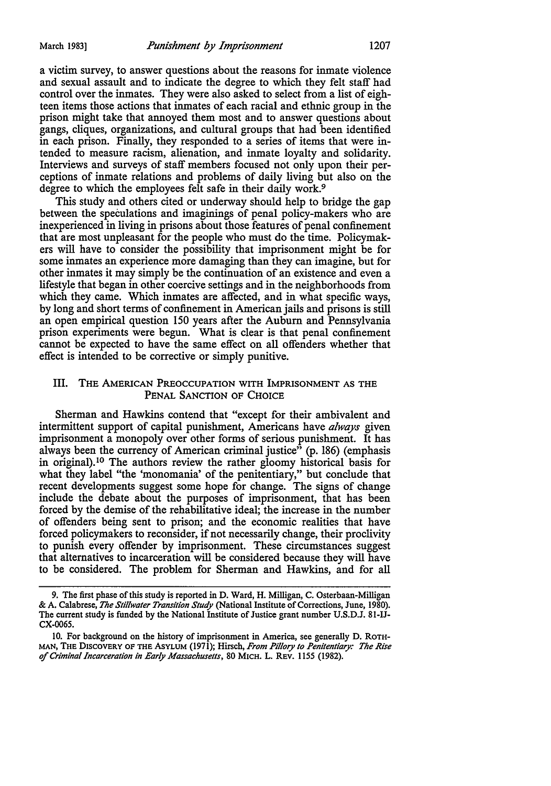a victim survey, to answer questions about the reasons for inmate violence and sexual assault and to indicate the degree to which they felt staff had control over the inmates. They were also asked to select from a list of eighteen items those actions that inmates of each racial and ethnic group in the prison might take that annoyed them most and to answer questions about gangs, cliques, organizations, and cultural groups that had been identified in each prison. Finally, they responded to a series of items that were intended to measure racism, alienation, and inmate loyalty and solidarity. Interviews and surveys of staff members focused not only upon their perceptions of inmate relations and problems of daily living but also on the

degree to which the employees felt safe in their daily work.<sup>9</sup> This study and others cited or underway should help to bridge the gap between the speculations and imaginings of penal policy-makers who are inexperienced in living in prisons about those features of penal confinement that are most unpleasant for the people who must do the time. Policymakers will have to consider the possibility that imprisonment might be for some inmates an experience more damaging than they can imagine, but for other inmates it may simply be the continuation of an existence and even a lifestyle that began in other coercive settings and in the neighborhoods from which they came. Which inmates are affected, and in what specific ways, by long and short terms of confinement in American jails and prisons is still an open empirical question 150 years after the Auburn and Pennsylvania prison experiments were begun. What is clear is that penal confinement cannot be expected to have the same effect on all offenders whether that effect is intended to be corrective or simply punitive.

#### III. THE AMERICAN PREOCCUPATION WITH IMPRISONMENT AS THE PENAL SANCTION OF CHOICE

Sherman and Hawkins contend that "except for their ambivalent and intermittent support of capital punishment, Americans have *always* given imprisonment a monopoly over other forms of serious punishment. It has always been the currency of American criminal justice" (p. 186) (emphasis in original).<sup>10</sup> The authors review the rather gloomy historical basis for what they label "the 'monomania' of the penitentiary," but conclude that recent developments suggest some hope for change. The signs of change include the debate about the purposes of imprisonment, that has been forced by the demise of the rehabilitative ideal; the increase in the number of offenders being sent to prison; and the economic realities that have forced policymakers to reconsider, if not necessarily change, their proclivity to punish every offender by imprisonment. These circumstances suggest that alternatives to incarceration will be considered because they will have to be considered. The problem for Sherman and Hawkins, and for all

<sup>9.</sup> The first phase of this study is reported in D. Ward, **H.** Milligan, C. Osterbaan-Milligan & A. Calabrese, *The Stillwater Transition Study* (National Institute of Corrections, June, 1980). The current study is funded by the National Institute of Justice grant number U.S.D.J. 81-IJ-**CX-0065.** 

<sup>10.</sup> For background on the history of imprisonment in America, see generally D. ROTH-MAN, THE DISCOVERY OF THE AsYLUM (1971); Hirsch, *From Pillory to Penitentiary: The Rise of Criminal Incarceration in Early Massachusetts,* 80 MICH. L. REV. 1155 (1982).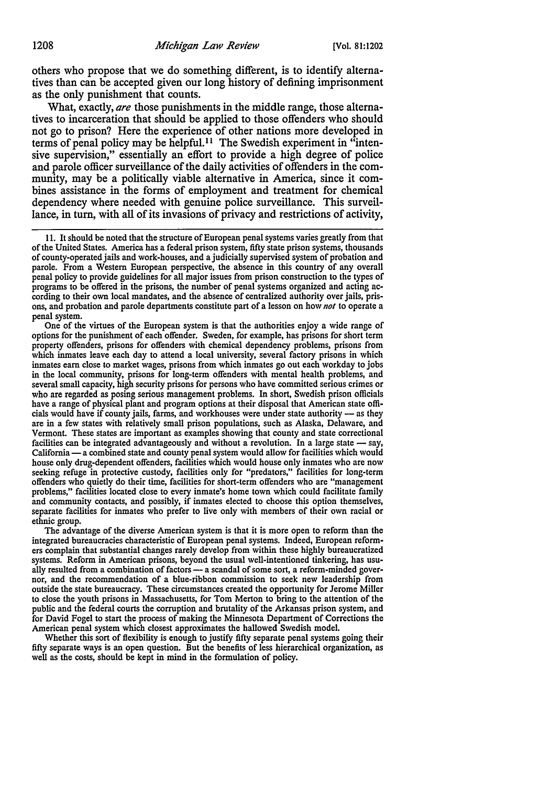others who propose that we do something different, is to identify alternatives than can be accepted given our long history of defining imprisonment as the only punishment that counts.

What, exactly, *are* those punishments in the middle range, those alternatives to incarceration that should be applied to those offenders who should not go to prison? Here the experience of other nations more developed in terms of penal policy may be helpful.<sup>11</sup> The Swedish experiment in "intensive supervision," essentially an effort to provide a high degree of police and parole officer surveillance of the daily activities of offenders in the community, may be a politically viable alternative in America, since it combines assistance in the forms of employment and treatment for chemical dependency where needed with genuine police surveillance. This surveillance, in turn, with all of its invasions of privacy and restrictions of activity,

One of the virtues of the European system is that the authorities enjoy a wide range of options for the punishment of each offender. Sweden, for example, has prisons for short term property offenders, prisons for offenders with chemical dependency problems, prisons from which inmates leave each day to attend a local university, several factory prisons in which inmates earn close to market wages, prisons from which inmates go out each workday to jobs in the local community, prisons for long-term offenders with mental health problems, and several small capacity, high security prisons for persons who have committed serious crimes or who are regarded as posing serious management problems. In short, Swedish prison officials have a range of physical plant and program options at their disposal that American state officials would have if county jails, farms, and workhouses were under state authority - as they are in a few states with relatively small prison populations, such as Alaska, Delaware, and Vermont. These states are important as examples showing that county and state correctional facilities can be integrated advantageously and without a revolution. In a large state  $-$  say, California - a combined state and county penal system would allow for facilities which would house only drug-dependent offenders, facilities which would house only inmates who are now seeking refuge in protective custody, facilities only for "predators," facilities for long-term offenders who quietly do their time, facilities for short-term offenders who are "management problems," facilities located close to every inmate's home town which could facilitate family and community contacts, and possibly, if inmates elected to choose this option themselves, separate facilities for inmates who prefer to live only with members of their own racial or ethnic group.

The advantage of the diverse American system is that it is more open to reform than the integrated bureaucracies characteristic of European penal systems. Indeed, European reformers complain that substantial changes rarely develop from within these highly bureaucratized systems. Reform in American prisons, beyond the usual well-intentioned tinkering, has usually resulted from a combination of factors -- a scandal of some sort, a reform-minded governor, and the recommendation of a blue-ribbon commission to seek new leadership from outside the state bureaucracy. These circumstances created the opportunity for Jerome Miller to close the youth prisons in Massachusetts, for Tom Merton to bring to the attention of the public and the federal courts the corruption and brutality of the Arkansas prison system, and for David Fogel to start the process of making the Minnesota Department of Corrections the American penal system which closest approximates the hallowed Swedish model.

Whether this sort of flexibility is enough to justify fifty separate penal systems going their fifty separate ways is an open question. But the benefits of less hierarchical organization, as well as the costs, should be kept in mind in the formulation of policy.

<sup>11.</sup> It should be noted that the structure of European penal systems varies greatly from that of the United States. America has a federal prison system, fifty state prison systems, thousands of county-operated jails and work-houses, and a judicially supervised system of probation and parole. From a Western European perspective, the absence in this country of any overall penal policy to provide guidelines for all major issues from prison construction to the types of programs to be offered in the prisons, the number of penal systems organized and acting according to their own local mandates, and the absence of centralized authority over jails, prisons, and probation and parole departments constitute part of a lesson on how *not* to operate a penal system.